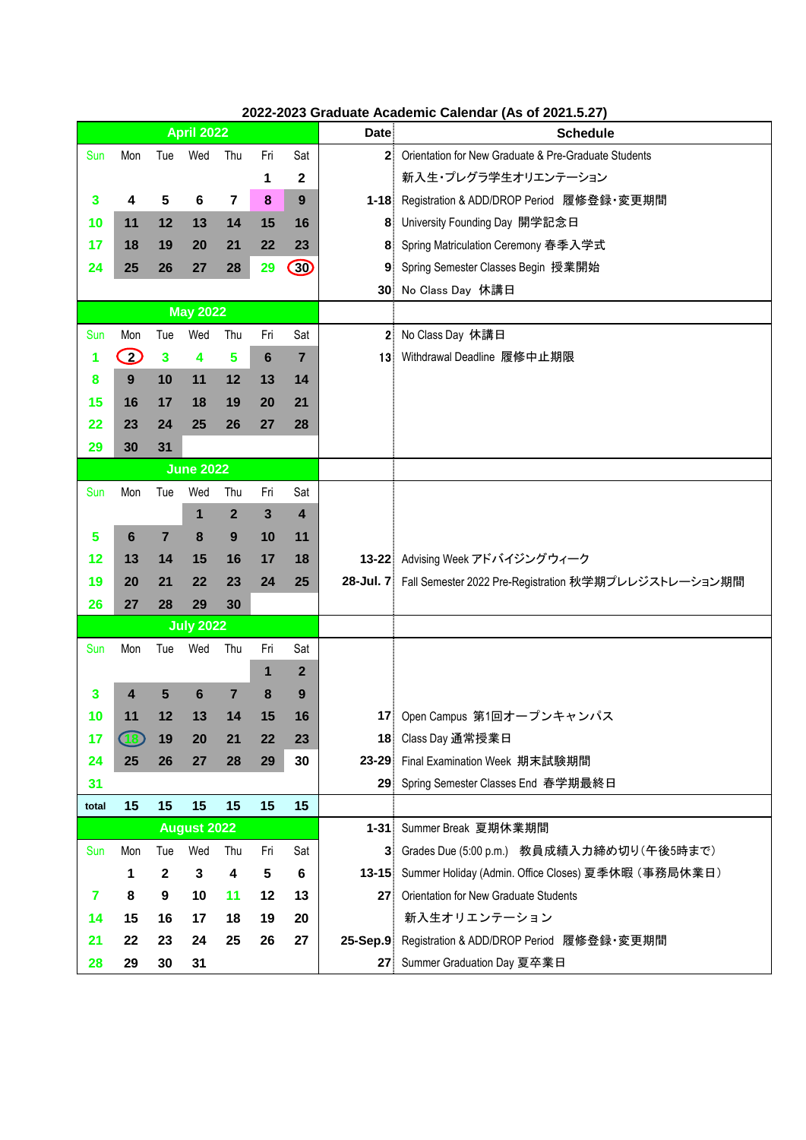|                         | <b>April 2022</b>                                         |                |                 |                         |                 |                | <b>Date</b>     | <b>Schedule</b>                                                |
|-------------------------|-----------------------------------------------------------|----------------|-----------------|-------------------------|-----------------|----------------|-----------------|----------------------------------------------------------------|
| Sun                     | Mon                                                       | Tue            | Wed             | Thu                     | Fri             | Sat            | 2               | Orientation for New Graduate & Pre-Graduate Students           |
|                         |                                                           |                |                 |                         | 1               | $\mathbf 2$    |                 | 新入生・プレグラ学生オリエンテーション                                            |
| $\mathbf{3}$            | 4                                                         | 5              | $6\phantom{1}6$ | $\overline{\mathbf{7}}$ | $\pmb{8}$       | 9              |                 | 1-18 Registration & ADD/DROP Period 履修登録·変更期間                  |
| 10                      | 11                                                        | 12             | 13              | 14                      | 15              | 16             | 8.              | University Founding Day 開学記念日                                  |
| 17                      | 18                                                        | 19             | 20              | 21                      | 22              | 23             | 8.              | Spring Matriculation Ceremony 春季入学式                            |
| 24                      | 25                                                        | 26             | 27              | 28                      | 29              | $\bigcirc$     | 9               | Spring Semester Classes Begin 授業開始                             |
|                         |                                                           |                |                 |                         |                 |                |                 | 30 No Class Day 休講日                                            |
| <b>May 2022</b>         |                                                           |                |                 |                         |                 |                |                 |                                                                |
| Sun                     | Mon                                                       | Tue            | Wed             | Thu                     | Fri             | Sat            | 2 <sup>1</sup>  | No Class Day 休講日                                               |
| 1                       | $\mathcal{D}% _{M_{1},M_{2}}^{\alpha,\beta}(\varepsilon)$ | $\mathbf{3}$   | 4               | 5                       | $6\phantom{1}6$ | $\overline{7}$ | 13.             | Withdrawal Deadline 履修中止期限                                     |
| 8                       | 9                                                         | 10             | 11              | 12                      | 13              | 14             |                 |                                                                |
| 15                      | 16                                                        | 17             | 18              | 19                      | 20              | 21             |                 |                                                                |
| 22                      | 23                                                        | 24             | 25              | 26                      | 27              | 28             |                 |                                                                |
| 29                      | 30                                                        | 31             |                 |                         |                 |                |                 |                                                                |
|                         | <b>June 2022</b>                                          |                |                 |                         |                 |                |                 |                                                                |
| Sun                     | Mon                                                       | Tue            | Wed             | Thu                     | Fri             | Sat            |                 |                                                                |
|                         |                                                           |                | 1               | $\mathbf{2}$            | $\mathbf{3}$    | 4              |                 |                                                                |
| 5                       | $6\phantom{1}6$                                           | $\overline{7}$ | 8               | 9                       | 10              | 11             |                 |                                                                |
| 12                      | 13                                                        | 14             | 15              | 16                      | 17              | 18             |                 | 13-22 Advising Week アドバイジングウィーク                                |
| 19                      | 20                                                        | 21             | 22              | 23                      | 24              | 25             |                 | 28-Jul. 7 Fall Semester 2022 Pre-Registration 秋学期プレレジストレーション期間 |
| 26                      | 27                                                        | 28             | 29              | 30                      |                 |                |                 |                                                                |
| <b>July 2022</b>        |                                                           |                |                 |                         |                 |                |                 |                                                                |
| Sun                     | Mon                                                       | Tue            | Wed             | Thu                     | Fri             | Sat            |                 |                                                                |
|                         |                                                           |                |                 |                         | 1               | $\overline{2}$ |                 |                                                                |
| $\overline{\mathbf{3}}$ | 4                                                         | $5\phantom{1}$ | $6\phantom{1}6$ | $\overline{7}$          | 8               | 9              |                 |                                                                |
| 10                      | 11                                                        | 12             | 13              | 14                      | 15              | 16             |                 | 17 Open Campus 第1回オープンキャンパス                                    |
| 17                      | <b>CB</b>                                                 | 19             | 20              | 21                      | 22              | 23             |                 | 18 Class Day 通常授業日                                             |
| 24                      | 25                                                        | 26             | 27              | 28                      | 29              | 30             |                 | 23-29 Final Examination Week 期末試験期間                            |
| 31                      |                                                           |                |                 |                         |                 |                |                 | 29 Spring Semester Classes End 春学期最終日                          |
| total                   | 15                                                        | 15             | 15              | 15                      | 15              | 15             |                 |                                                                |
|                         | <b>August 2022</b>                                        |                |                 |                         |                 |                |                 | 1-31 Summer Break 夏期休業期間                                       |
| Sun                     | Mon                                                       | Tue            | Wed             | Thu                     | Fri             | Sat            |                 | 3 Grades Due (5:00 p.m.) 教員成績入力締め切り(午後5時まで)                    |
|                         | 1                                                         | $\mathbf{2}$   | 3               | 4                       | 5               | 6              |                 | 13-15 Summer Holiday (Admin. Office Closes) 夏季休暇 (事務局休業日)      |
| $\overline{\mathbf{r}}$ | 8                                                         | 9              | 10              | 11                      | 12              | 13             | 27 <sup>1</sup> | Orientation for New Graduate Students                          |
| 14                      | 15                                                        | 16             | 17              | 18                      | 19              | 20             |                 | 新入生オリエンテーション                                                   |
| 21                      | 22                                                        | 23             | 24              | 25                      | 26              | 27             | $25-Sep.9$      | Registration & ADD/DROP Period 履修登録·変更期間                       |
| 28                      | 29                                                        | 30             | 31              |                         |                 |                | 27 <sub>2</sub> | Summer Graduation Day 夏卒業日                                     |

## **2022-2023 Graduate Academic Calendar (As of 2021.5.27)**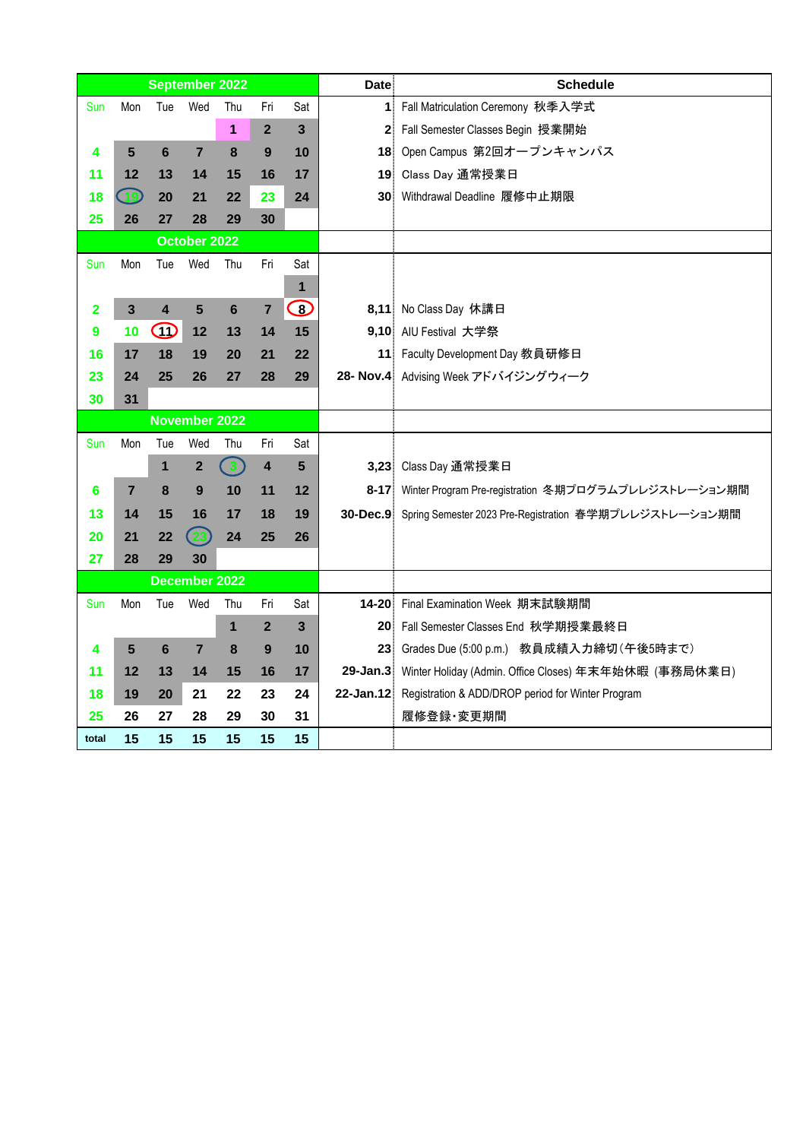| <b>September 2022</b> |                |                         |                  |                |                |            | <b>Date</b>    | <b>Schedule</b>                                                 |
|-----------------------|----------------|-------------------------|------------------|----------------|----------------|------------|----------------|-----------------------------------------------------------------|
| Sun                   | Mon            | Tue                     | Wed              | Thu            | Fri            | Sat        |                | 1 Fall Matriculation Ceremony 秋季入学式                             |
|                       |                |                         |                  | 1              | $\overline{2}$ | 3          | 2 <sup>1</sup> | Fall Semester Classes Begin 授業開始                                |
| 4                     | 5              | 6                       | $\overline{7}$   | 8              | 9              | 10         |                | 18 Open Campus 第2回オープンキャンパス                                     |
| 11                    | 12             | 13                      | 14               | 15             | 16             | 17         | 19             | Class Day 通常授業日                                                 |
| 18                    | 49             | 20                      | 21               | 22             | 23             | 24         |                | 30 Withdrawal Deadline 履修中止期限                                   |
| 25                    | 26             | 27                      | 28               | 29             | 30             |            |                |                                                                 |
|                       | October 2022   |                         |                  |                |                |            |                |                                                                 |
| Sun                   | Mon            | Tue                     | Wed              | Thu            | Fri            | Sat        |                |                                                                 |
|                       |                |                         |                  |                |                | 1          |                |                                                                 |
| 2                     | $\mathbf{3}$   | $\overline{\mathbf{4}}$ | 5                | $6\phantom{1}$ | $\overline{7}$ | $\bigcirc$ |                | 8,11 No Class Day 休講日                                           |
| 9                     | 10             | W                       | 12               | 13             | 14             | 15         |                | 9,10 AIU Festival 大学祭                                           |
| 16                    | 17             | 18                      | 19               | 20             | 21             | 22         |                | 11 Faculty Development Day 教員研修日                                |
| 23                    | 24             | 25                      | 26               | 27             | 28             | 29         |                | 28- Nov.4 Advising Week アドバイジングウィーク                             |
| 30                    | 31             |                         |                  |                |                |            |                |                                                                 |
| <b>November 2022</b>  |                |                         |                  |                |                |            |                |                                                                 |
| Sun                   | Mon            | Tue                     | Wed              | Thu            | Fri            | Sat        |                |                                                                 |
|                       |                | 1                       | $\boldsymbol{2}$ | $\mathbf{3}$   | 4              | 5          |                | 3,23 Class Day 通常授業日                                            |
| 6                     | $\overline{7}$ | 8                       | 9                | 10             | 11             | 12         |                | 8-17 Winter Program Pre-registration 冬期プログラムプレレジストレーション期間       |
| 13                    | 14             | 15                      | 16               | 17             | 18             | 19         |                | 30-Dec.9 Spring Semester 2023 Pre-Registration 春学期プレレジストレーション期間 |
| 20                    | 21             | 22                      | 23               | 24             | 25             | 26         |                |                                                                 |
| 27                    | 28             | 29                      | 30               |                |                |            |                |                                                                 |
|                       |                |                         | December 2022    |                |                |            |                |                                                                 |
| Sun                   | Mon            | Tue                     | Wed              | Thu            | Fri            | Sat        |                | 14-20 Final Examination Week 期末試験期間                             |
|                       |                |                         |                  | 1              | $\mathbf{2}$   | 3          |                | 20 Fall Semester Classes End 秋学期授業最終日                           |
| 4                     | $5\phantom{1}$ | $6\phantom{1}$          | $\overline{7}$   | 8              | 9              | 10         |                | 23 Grades Due (5:00 p.m.) 教員成績入力締切 (午後5時まで)                     |
| 11                    | 12             | 13                      | 14               | 15             | 16             | 17         |                | 29-Jan.3 Winter Holiday (Admin. Office Closes) 年末年始休暇 (事務局休業日)  |
| 18                    | 19             | 20                      | 21               | 22             | 23             | 24         |                | 22-Jan.12 Registration & ADD/DROP period for Winter Program     |
| 25                    | 26             | 27                      | 28               | 29             | 30             | 31         |                | 履修登録·変更期間                                                       |
| total                 | 15             | 15                      | 15               | 15             | 15             | 15         |                |                                                                 |